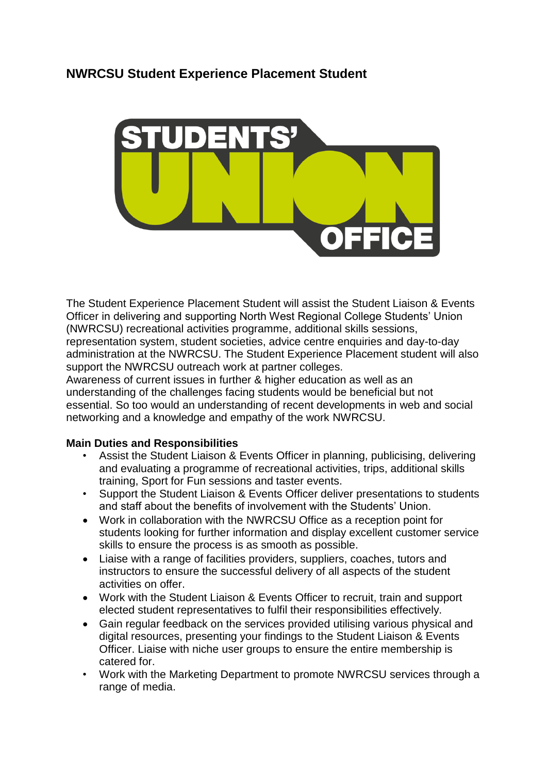

The Student Experience Placement Student will assist the Student Liaison & Events Officer in delivering and supporting North West Regional College Students' Union (NWRCSU) recreational activities programme, additional skills sessions, representation system, student societies, advice centre enquiries and day-to-day administration at the NWRCSU. The Student Experience Placement student will also support the NWRCSU outreach work at partner colleges.

Awareness of current issues in further & higher education as well as an understanding of the challenges facing students would be beneficial but not essential. So too would an understanding of recent developments in web and social networking and a knowledge and empathy of the work NWRCSU.

# **Main Duties and Responsibilities**

- Assist the Student Liaison & Events Officer in planning, publicising, delivering and evaluating a programme of recreational activities, trips, additional skills training, Sport for Fun sessions and taster events.
- Support the Student Liaison & Events Officer deliver presentations to students and staff about the benefits of involvement with the Students' Union.
- Work in collaboration with the NWRCSU Office as a reception point for students looking for further information and display excellent customer service skills to ensure the process is as smooth as possible.
- Liaise with a range of facilities providers, suppliers, coaches, tutors and instructors to ensure the successful delivery of all aspects of the student activities on offer.
- Work with the Student Liaison & Events Officer to recruit, train and support elected student representatives to fulfil their responsibilities effectively.
- Gain regular feedback on the services provided utilising various physical and digital resources, presenting your findings to the Student Liaison & Events Officer. Liaise with niche user groups to ensure the entire membership is catered for.
- Work with the Marketing Department to promote NWRCSU services through a range of media.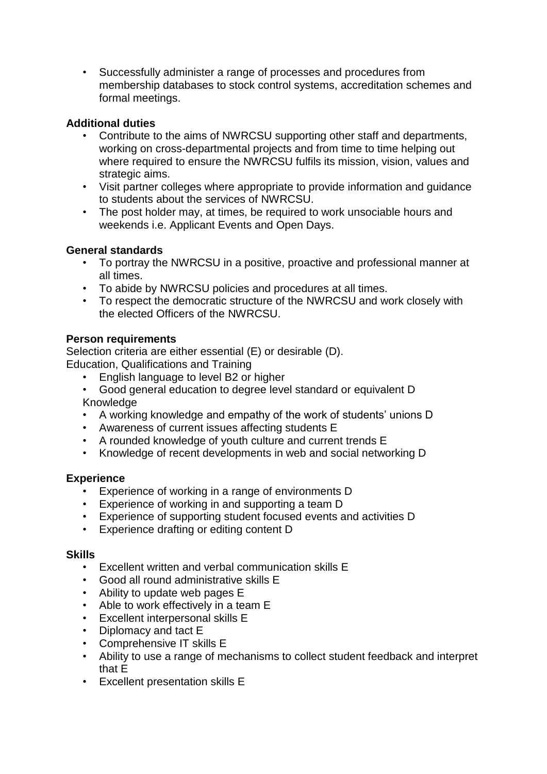• Successfully administer a range of processes and procedures from membership databases to stock control systems, accreditation schemes and formal meetings.

### **Additional duties**

- Contribute to the aims of NWRCSU supporting other staff and departments, working on cross-departmental projects and from time to time helping out where required to ensure the NWRCSU fulfils its mission, vision, values and strategic aims.
- Visit partner colleges where appropriate to provide information and guidance to students about the services of NWRCSU.
- The post holder may, at times, be required to work unsociable hours and weekends i.e. Applicant Events and Open Days.

### **General standards**

- To portray the NWRCSU in a positive, proactive and professional manner at all times.
- To abide by NWRCSU policies and procedures at all times.
- To respect the democratic structure of the NWRCSU and work closely with the elected Officers of the NWRCSU.

### **Person requirements**

Selection criteria are either essential (E) or desirable (D). Education, Qualifications and Training

- English language to level B2 or higher
- Good general education to degree level standard or equivalent D Knowledge
- A working knowledge and empathy of the work of students' unions D
- Awareness of current issues affecting students E
- A rounded knowledge of youth culture and current trends E
- Knowledge of recent developments in web and social networking D

#### **Experience**

- Experience of working in a range of environments D
- Experience of working in and supporting a team D
- Experience of supporting student focused events and activities D
- Experience drafting or editing content D

#### **Skills**

- Excellent written and verbal communication skills E
- Good all round administrative skills E
- Ability to update web pages E
- Able to work effectively in a team E
- Excellent interpersonal skills E
- Diplomacy and tact E
- Comprehensive IT skills E
- Ability to use a range of mechanisms to collect student feedback and interpret that E
- Excellent presentation skills E